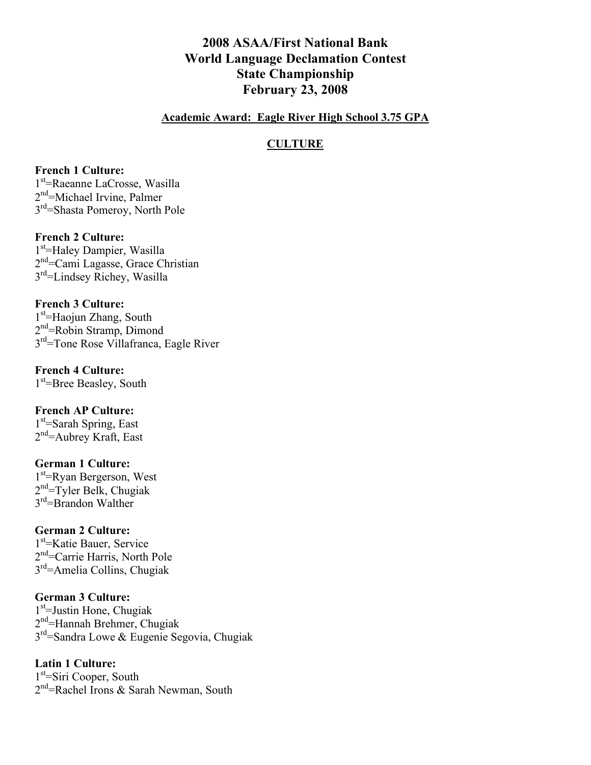# **2008 ASAA/First National Bank World Language Declamation Contest State Championship February 23, 2008**

#### **Academic Award: Eagle River High School 3.75 GPA**

#### **CULTURE**

#### **French 1 Culture:**

1st =Raeanne LaCrosse, Wasilla 2<sup>nd</sup>=Michael Irvine, Palmer 3rd=Shasta Pomeroy, North Pole

#### **French 2 Culture:**

1<sup>st</sup>=Haley Dampier, Wasilla 2<sup>nd</sup>=Cami Lagasse, Grace Christian 3rd=Lindsey Richey, Wasilla

#### **French 3 Culture:**

1<sup>st</sup>=Haojun Zhang, South 2<sup>nd</sup>=Robin Stramp, Dimond 3rd=Tone Rose Villafranca, Eagle River

### **French 4 Culture:**

1<sup>st</sup>=Bree Beasley, South

# **French AP Culture:**

1<sup>st</sup>=Sarah Spring, East 2<sup>nd</sup>=Aubrey Kraft, East

#### **German 1 Culture:**

1<sup>st</sup>=Ryan Bergerson, West 2<sup>nd</sup>=Tyler Belk, Chugiak 3<sup>rd</sup>=Brandon Walther

#### **German 2 Culture:**

1<sup>st</sup>=Katie Bauer, Service 2<sup>nd</sup>=Carrie Harris, North Pole 3rd=Amelia Collins, Chugiak

### **German 3 Culture:**

1<sup>st</sup>=Justin Hone, Chugiak 2<sup>nd</sup>=Hannah Brehmer, Chugiak  $3<sup>rd</sup>=$ Sandra Lowe & Eugenie Segovia, Chugiak

#### **Latin 1 Culture:**

1<sup>st</sup>=Siri Cooper, South 2<sup>nd</sup>=Rachel Irons & Sarah Newman, South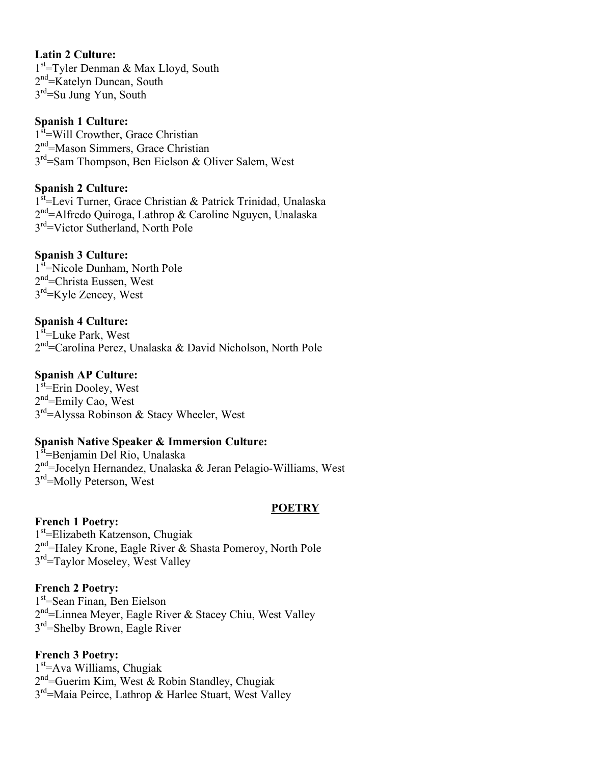### **Latin 2 Culture:**

1<sup>st</sup>=Tyler Denman & Max Lloyd, South 2<sup>nd</sup>=Katelyn Duncan, South 3<sup>rd</sup>=Su Jung Yun, South

#### **Spanish 1 Culture:**

1<sup>st</sup>=Will Crowther, Grace Christian 2<sup>nd</sup>=Mason Simmers, Grace Christian 3<sup>rd</sup>=Sam Thompson, Ben Eielson & Oliver Salem, West

### **Spanish 2 Culture:**

1st = Levi Turner, Grace Christian & Patrick Trinidad, Unalaska 2<sup>nd</sup>=Alfredo Quiroga, Lathrop & Caroline Nguyen, Unalaska 3<sup>rd</sup>=Victor Sutherland, North Pole

### **Spanish 3 Culture:**

1<sup>st</sup>=Nicole Dunham, North Pole 2<sup>nd</sup>=Christa Eussen, West 3rd=Kyle Zencey, West

### **Spanish 4 Culture:**

1<sup>st</sup>=Luke Park, West 2<sup>nd</sup>=Carolina Perez, Unalaska & David Nicholson, North Pole

### **Spanish AP Culture:**

1<sup>st</sup>=Erin Dooley, West 2<sup>nd</sup>=Emily Cao, West  $3<sup>rd</sup>$ =Alyssa Robinson & Stacy Wheeler, West

#### **Spanish Native Speaker & Immersion Culture:**

1<sup>st</sup>=Benjamin Del Rio, Unalaska 2<sup>nd</sup>=Jocelyn Hernandez, Unalaska & Jeran Pelagio-Williams, West 3<sup>rd</sup>=Molly Peterson, West

#### **POETRY**

#### **French 1 Poetry:**

1st =Elizabeth Katzenson, Chugiak 2<sup>nd</sup>=Haley Krone, Eagle River & Shasta Pomeroy, North Pole 3<sup>rd</sup>=Taylor Moseley, West Valley

#### **French 2 Poetry:**

1st =Sean Finan, Ben Eielson 2<sup>nd</sup>=Linnea Meyer, Eagle River & Stacey Chiu, West Valley 3rd=Shelby Brown, Eagle River

### **French 3 Poetry:**

1<sup>st</sup>=Ava Williams, Chugiak 2<sup>nd</sup>=Guerim Kim, West & Robin Standley, Chugiak 3rd=Maia Peirce, Lathrop & Harlee Stuart, West Valley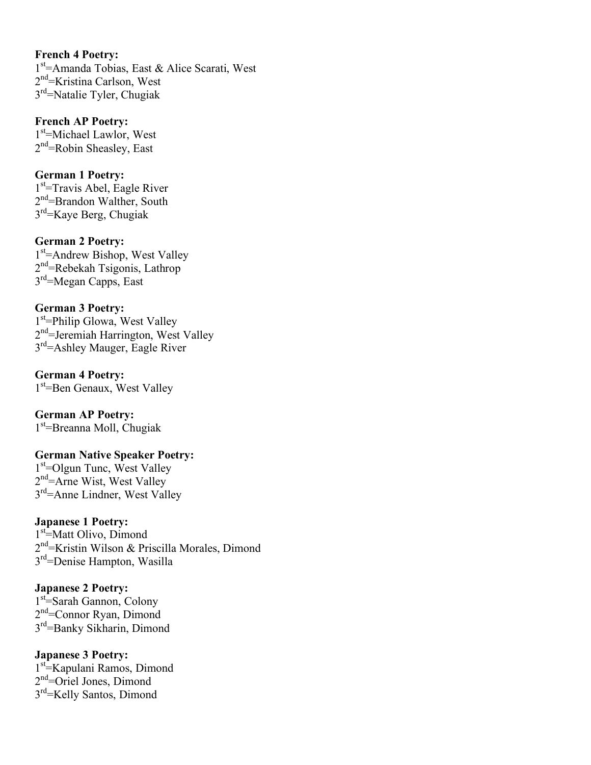#### **French 4 Poetry:**

1<sup>st</sup>=Amanda Tobias, East & Alice Scarati, West 2<sup>nd</sup>=Kristina Carlson, West 3rd=Natalie Tyler, Chugiak

**French AP Poetry:** 1<sup>st</sup>=Michael Lawlor, West 2<sup>nd</sup>=Robin Sheasley, East

#### **German 1 Poetry:**

1<sup>st</sup>=Travis Abel, Eagle River 2<sup>nd</sup>=Brandon Walther, South 3rd=Kaye Berg, Chugiak

### **German 2 Poetry:**

1<sup>st</sup>=Andrew Bishop, West Valley 2<sup>nd</sup>=Rebekah Tsigonis, Lathrop 3<sup>rd</sup>=Megan Capps, East

#### **German 3 Poetry:**

1<sup>st</sup>=Philip Glowa, West Valley 2<sup>nd</sup>=Jeremiah Harrington, West Valley 3rd=Ashley Mauger, Eagle River

#### **German 4 Poetry:**

1st =Ben Genaux, West Valley

**German AP Poetry:** 1<sup>st</sup>=Breanna Moll, Chugiak

#### **German Native Speaker Poetry:**

1<sup>st</sup>=Olgun Tunc, West Valley 2<sup>nd</sup>=Arne Wist, West Valley 3rd=Anne Lindner, West Valley

### **Japanese 1 Poetry:**

1<sup>st</sup>=Matt Olivo, Dimond 2<sup>nd</sup>=Kristin Wilson & Priscilla Morales, Dimond 3rd=Denise Hampton, Wasilla

### **Japanese 2 Poetry:**

1<sup>st</sup>=Sarah Gannon, Colony 2<sup>nd</sup>=Connor Ryan, Dimond 3rd=Banky Sikharin, Dimond

#### **Japanese 3 Poetry:**

1<sup>st</sup> Kapulani Ramos, Dimond 2<sup>nd</sup>=Oriel Jones, Dimond 3rd=Kelly Santos, Dimond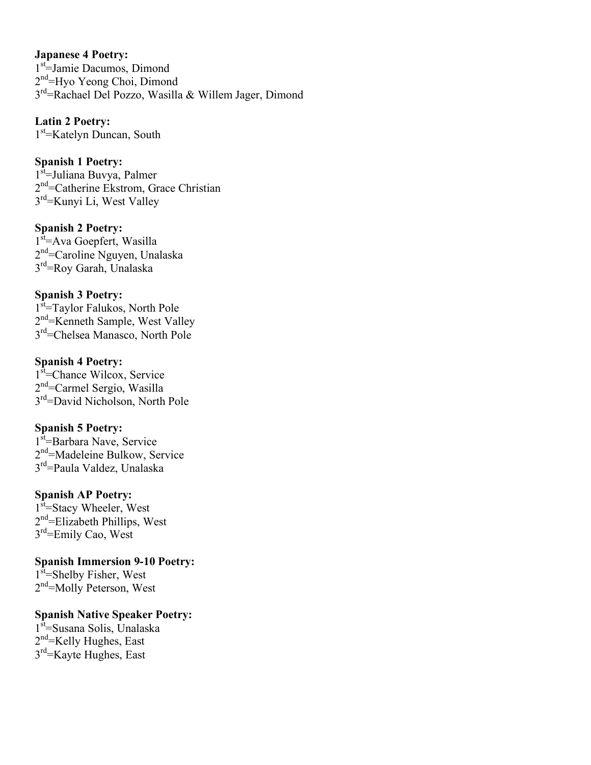### **Japanese 4 Poetry:**

1st =Jamie Dacumos, Dimond 2<sup>nd</sup>=Hyo Yeong Choi, Dimond 3rd=Rachael Del Pozzo, Wasilla & Willem Jager, Dimond

# **Latin 2 Poetry:**

1st =Katelyn Duncan, South

### **Spanish 1 Poetry:**

1<sup>st</sup>=Juliana Buvya, Palmer 2<sup>nd</sup>=Catherine Ekstrom, Grace Christian 3rd=Kunyi Li, West Valley

### **Spanish 2 Poetry:**

1<sup>st</sup>=Ava Goepfert, Wasilla 2<sup>nd</sup>=Caroline Nguyen, Unalaska 3<sup>rd</sup>=Roy Garah, Unalaska

### **Spanish 3 Poetry:**

1<sup>st</sup>=Taylor Falukos, North Pole 2<sup>nd</sup>=Kenneth Sample, West Valley 3rd=Chelsea Manasco, North Pole

### **Spanish 4 Poetry:**

1<sup>st</sup>=Chance Wilcox, Service 2<sup>nd</sup>=Carmel Sergio, Wasilla 3rd=David Nicholson, North Pole

### **Spanish 5 Poetry:**

1<sup>st</sup>=Barbara Nave, Service 2<sup>nd</sup>=Madeleine Bulkow, Service 3rd=Paula Valdez, Unalaska

### **Spanish AP Poetry:**

1<sup>st</sup>=Stacy Wheeler, West 2<sup>nd</sup>=Elizabeth Phillips, West 3<sup>rd</sup>=Emily Cao, West

**Spanish Immersion 9-10 Poetry:**

1<sup>st</sup>=Shelby Fisher, West 2<sup>nd</sup>=Molly Peterson, West

### **Spanish Native Speaker Poetry:**

1<sup>st</sup>=Susana Solis, Unalaska 2<sup>nd</sup>=Kelly Hughes, East 3rd=Kayte Hughes, East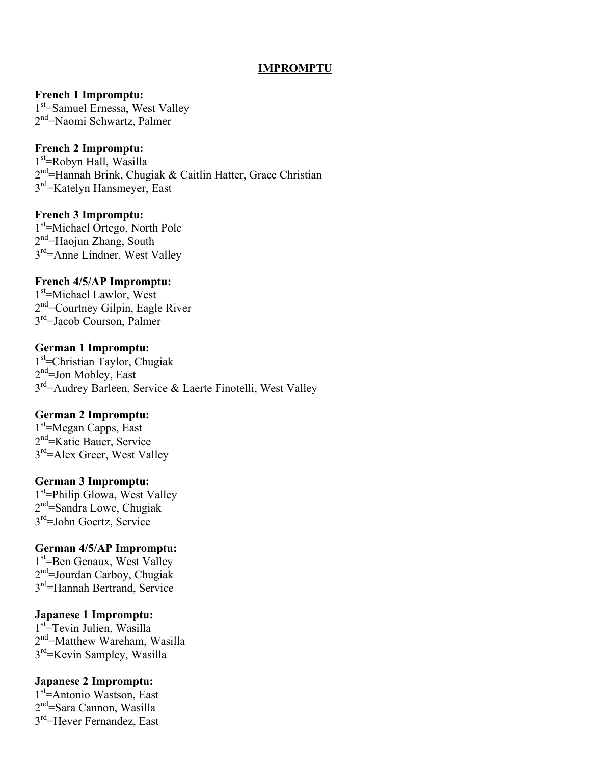#### **IMPROMPTU**

**French 1 Impromptu:**

1<sup>st</sup>=Samuel Ernessa, West Valley 2<sup>nd</sup>=Naomi Schwartz, Palmer

#### **French 2 Impromptu:**

1st =Robyn Hall, Wasilla 2<sup>nd</sup>=Hannah Brink, Chugiak & Caitlin Hatter, Grace Christian 3<sup>rd</sup>=Katelyn Hansmeyer, East

#### **French 3 Impromptu:**

1<sup>st</sup>=Michael Ortego, North Pole 2<sup>nd</sup>=Haojun Zhang, South 3rd=Anne Lindner, West Valley

#### **French 4/5/AP Impromptu:**

1<sup>st</sup>=Michael Lawlor, West 2<sup>nd</sup>=Courtney Gilpin, Eagle River 3rd=Jacob Courson, Palmer

#### **German 1 Impromptu:**

1<sup>st</sup>=Christian Taylor, Chugiak 2<sup>nd</sup>=Jon Mobley, East 3rd=Audrey Barleen, Service & Laerte Finotelli, West Valley

### **German 2 Impromptu:**

1<sup>st</sup>=Megan Capps, East 2<sup>nd</sup>=Katie Bauer, Service 3<sup>rd</sup>=Alex Greer, West Valley

#### **German 3 Impromptu:**

1<sup>st</sup>=Philip Glowa, West Valley 2<sup>nd</sup>=Sandra Lowe, Chugiak 3rd=John Goertz, Service

#### **German 4/5/AP Impromptu:**

1<sup>st</sup>=Ben Genaux, West Valley 2<sup>nd</sup>=Jourdan Carboy, Chugiak 3rd=Hannah Bertrand, Service

#### **Japanese 1 Impromptu:**

1<sup>st</sup>=Tevin Julien, Wasilla 2<sup>nd</sup>=Matthew Wareham, Wasilla 3rd=Kevin Sampley, Wasilla

#### **Japanese 2 Impromptu:**

1st =Antonio Wastson, East 2<sup>nd</sup>=Sara Cannon, Wasilla 3<sup>rd</sup>=Hever Fernandez, East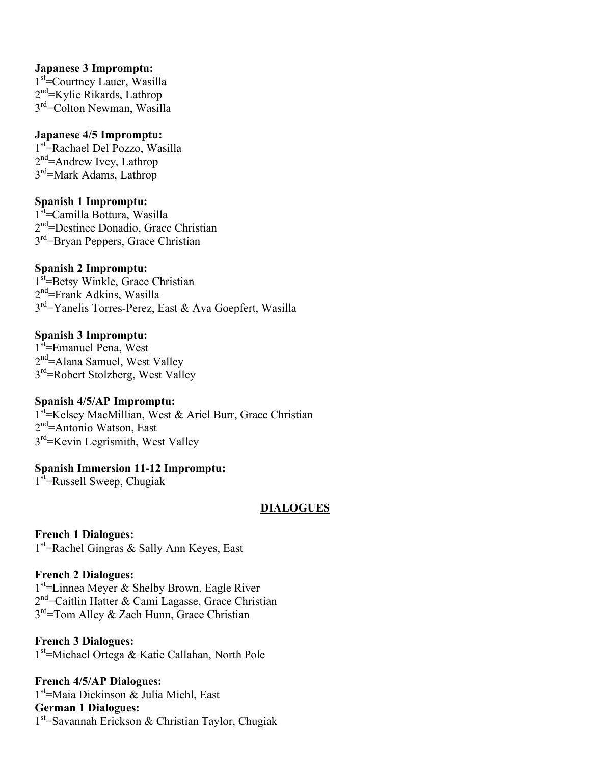### **Japanese 3 Impromptu:**

1<sup>st</sup>=Courtney Lauer, Wasilla 2<sup>nd</sup>=Kylie Rikards, Lathrop 3<sup>rd</sup>=Colton Newman, Wasilla

### **Japanese 4/5 Impromptu:**

1<sup>st</sup>=Rachael Del Pozzo, Wasilla 2<sup>nd</sup>=Andrew Ivey, Lathrop 3rd=Mark Adams, Lathrop

### **Spanish 1 Impromptu:**

1<sup>st</sup>=Camilla Bottura, Wasilla 2<sup>nd</sup>=Destinee Donadio, Grace Christian 3<sup>rd</sup>=Bryan Peppers, Grace Christian

### **Spanish 2 Impromptu:**

1<sup>st</sup>=Betsy Winkle, Grace Christian 2<sup>nd</sup>=Frank Adkins, Wasilla 3rd=Yanelis Torres-Perez, East & Ava Goepfert, Wasilla

### **Spanish 3 Impromptu:**

1<sup>st</sup>=Emanuel Pena, West 2<sup>nd</sup>=Alana Samuel, West Valley 3<sup>rd</sup>=Robert Stolzberg, West Valley

#### **Spanish 4/5/AP Impromptu:**

1<sup>st</sup>=Kelsey MacMillian, West & Ariel Burr, Grace Christian 2<sup>nd</sup>=Antonio Watson, East 3<sup>rd</sup>=Kevin Legrismith, West Valley

### **Spanish Immersion 11-12 Impromptu:**

1<sup>st</sup>=Russell Sweep, Chugiak

### **DIALOGUES**

**French 1 Dialogues:** 1<sup>st</sup> = Rachel Gingras & Sally Ann Keyes, East

### **French 2 Dialogues:**

1<sup>st</sup>=Linnea Meyer & Shelby Brown, Eagle River 2<sup>nd</sup>=Caitlin Hatter & Cami Lagasse, Grace Christian  $3<sup>rd</sup>=Tom$  Alley & Zach Hunn, Grace Christian

**French 3 Dialogues:** 1<sup>st</sup>=Michael Ortega & Katie Callahan, North Pole

**French 4/5/AP Dialogues:** 1<sup>st</sup>=Maia Dickinson & Julia Michl, East **German 1 Dialogues:** 1<sup>st</sup>=Savannah Erickson & Christian Taylor, Chugiak